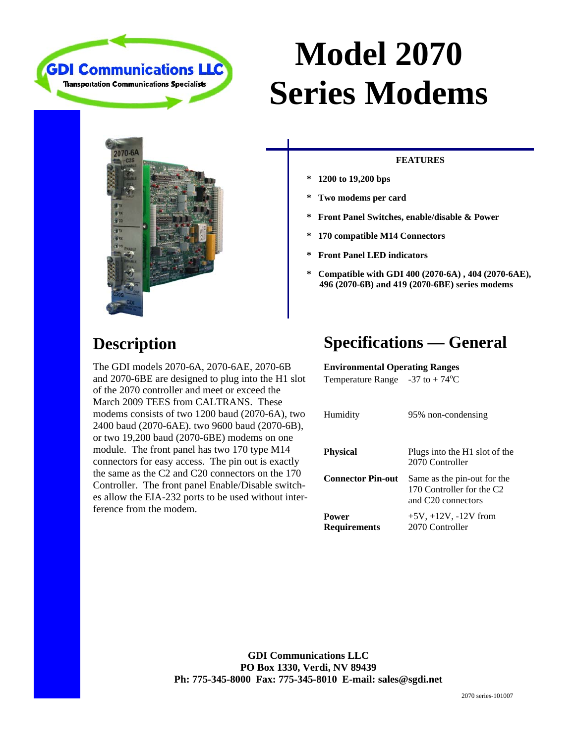

# **Model 2070 Series Modems**



### **FEATURES**

- **\* 1200 to 19,200 bps**
- **\* Two modems per card**
- **\* Front Panel Switches, enable/disable & Power**
- **\* 170 compatible M14 Connectors**
- **\* Front Panel LED indicators**
- **\* Compatible with GDI 400 (2070-6A) , 404 (2070-6AE), 496 (2070-6B) and 419 (2070-6BE) series modems**

### **Description**

The GDI models 2070-6A, 2070-6AE, 2070-6B and 2070-6BE are designed to plug into the H1 slot of the 2070 controller and meet or exceed the March 2009 TEES from CALTRANS. These modems consists of two 1200 baud (2070-6A), two 2400 baud (2070-6AE). two 9600 baud (2070-6B), or two 19,200 baud (2070-6BE) modems on one module. The front panel has two 170 type M14 connectors for easy access. The pin out is exactly the same as the C2 and C20 connectors on the 170 Controller. The front panel Enable/Disable switches allow the EIA-232 ports to be used without interference from the modem.

## **Specifications — General**

Temperature Range  $-37$  to  $+74^{\circ}$ C **Environmental Operating Ranges** 

| Humidity                     | 95% non-condensing                                                                         |
|------------------------------|--------------------------------------------------------------------------------------------|
| <b>Physical</b>              | Plugs into the H1 slot of the<br>2070 Controller                                           |
| <b>Connector Pin-out</b>     | Same as the pin-out for the<br>170 Controller for the C <sub>2</sub><br>and C20 connectors |
| Power<br><b>Requirements</b> | $+5V, +12V, -12V$ from<br>2070 Controller                                                  |

**GDI Communications LLC PO Box 1330, Verdi, NV 89439 Ph: 775-345-8000 Fax: 775-345-8010 E-mail: sales@sgdi.net**